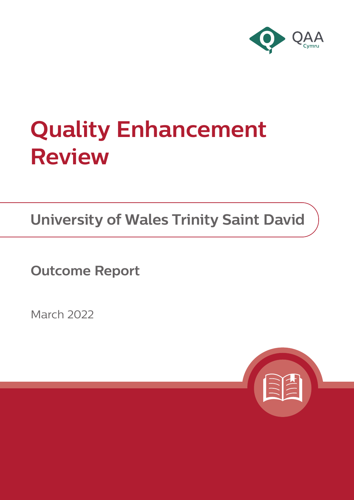

# **Quality Enhancement Review**

**University of Wales Trinity Saint David**

**Outcome Report**

March 2022

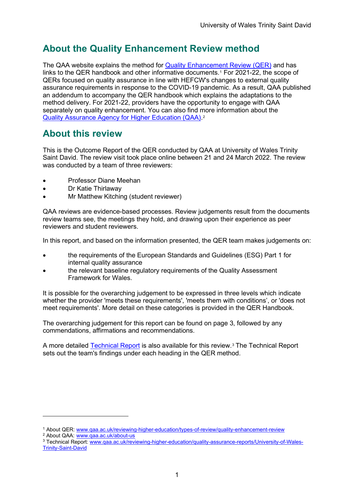## **About the Quality Enhancement Review method**

The QAA website explains the method for [Quality Enhancement Review \(QER\)](https://www.qaa.ac.uk/reviewing-higher-education/types-of-review/quality-enhancement-review) and has links to the QER handbook and other informative documents.[1](#page-1-0) For 2021-22, the scope of QERs focused on quality assurance in line with HEFCW's changes to external quality assurance requirements in response to the COVID-19 pandemic. As a result, QAA published an addendum to accompany the QER handbook which explains the adaptations to the method delivery. For 2021-22, providers have the opportunity to engage with QAA separately on quality enhancement. You can also find more information about the [Quality Assurance Agency for Higher Education \(QAA\).](https://www.qaa.ac.uk/about-us)[2](#page-1-1)

## **About this review**

This is the Outcome Report of the QER conducted by QAA at University of Wales Trinity Saint David. The review visit took place online between 21 and 24 March 2022. The review was conducted by a team of three reviewers:

- Professor Diane Meehan
- Dr Katie Thirlaway
- Mr Matthew Kitching (student reviewer)

QAA reviews are evidence-based processes. Review judgements result from the documents review teams see, the meetings they hold, and drawing upon their experience as peer reviewers and student reviewers.

In this report, and based on the information presented, the QER team makes judgements on:

- the requirements of the European Standards and Guidelines (ESG) Part 1 for internal quality assurance
- the relevant baseline regulatory requirements of the Quality Assessment Framework for Wales.

It is possible for the overarching judgement to be expressed in three levels which indicate whether the provider 'meets these requirements', 'meets them with conditions', or 'does not meet requirements'. More detail on these categories is provided in the QER Handbook.

The overarching judgement for this report can be found on page 3, followed by any commendations, affirmations and recommendations.

A more detailed [Technical Report](https://www.qaa.ac.uk/reviewing-higher-education/quality-assurance-reports/University-of-Wales-Trinity-Saint-David) is also available for this review.[3](#page-1-2) The Technical Report sets out the team's findings under each heading in the QER method.

<span id="page-1-0"></span><sup>&</sup>lt;sup>1</sup> About QER: [www.qaa.ac.uk/reviewing-higher-education/types-of-review/quality-enhancement-review](https://www.qaa.ac.uk/reviewing-higher-education/types-of-review/quality-enhancement-review) <sup>2</sup> About QAA: [www.qaa.ac.uk/about-us](https://www.qaa.ac.uk/about-us)

<span id="page-1-2"></span><span id="page-1-1"></span><sup>3</sup> Technical Report: [www.qaa.ac.uk/reviewing-higher-education/quality-assurance-reports/University-of-Wales-](https://www.qaa.ac.uk/reviewing-higher-education/quality-assurance-reports/University-of-Wales-Trinity-Saint-David)[Trinity-Saint-David](https://www.qaa.ac.uk/reviewing-higher-education/quality-assurance-reports/University-of-Wales-Trinity-Saint-David)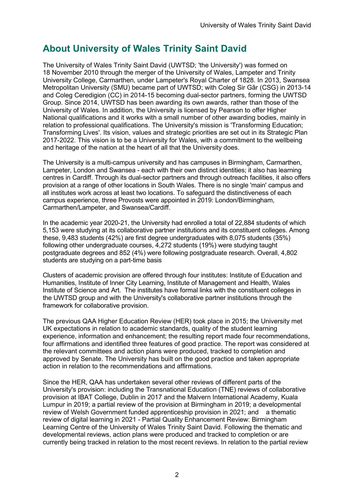# **About University of Wales Trinity Saint David**

The University of Wales Trinity Saint David (UWTSD; 'the University') was formed on 18 November 2010 through the merger of the University of Wales, Lampeter and Trinity University College, Carmarthen, under Lampeter's Royal Charter of 1828. In 2013, Swansea Metropolitan University (SMU) became part of UWTSD; with Coleg Sir Gâr (CSG) in 2013-14 and Coleg Ceredigion (CC) in 2014-15 becoming dual-sector partners, forming the UWTSD Group. Since 2014, UWTSD has been awarding its own awards, rather than those of the University of Wales. In addition, the University is licensed by Pearson to offer Higher National qualifications and it works with a small number of other awarding bodies, mainly in relation to professional qualifications. The University's mission is 'Transforming Education; Transforming Lives'. Its vision, values and strategic priorities are set out in its Strategic Plan 2017-2022. This vision is to be a University for Wales, with a commitment to the wellbeing and heritage of the nation at the heart of all that the University does.

The University is a multi-campus university and has campuses in Birmingham, Carmarthen, Lampeter, London and Swansea - each with their own distinct identities; it also has learning centres in Cardiff. Through its dual-sector partners and through outreach facilities, it also offers provision at a range of other locations in South Wales. There is no single 'main' campus and all institutes work across at least two locations. To safeguard the distinctiveness of each campus experience, three Provosts were appointed in 2019: London/Birmingham, Carmarthen/Lampeter, and Swansea/Cardiff.

In the academic year 2020-21, the University had enrolled a total of 22,884 students of which 5,153 were studying at its collaborative partner institutions and its constituent colleges. Among these, 9,483 students (42%) are first degree undergraduates with 8,075 students (35%) following other undergraduate courses, 4,272 students (19%) were studying taught postgraduate degrees and 852 (4%) were following postgraduate research. Overall, 4,802 students are studying on a part-time basis

Clusters of academic provision are offered through four institutes: Institute of Education and Humanities, Institute of Inner City Learning, Institute of Management and Health, Wales Institute of Science and Art. The institutes have formal links with the constituent colleges in the UWTSD group and with the University's collaborative partner institutions through the framework for collaborative provision.

The previous QAA Higher Education Review (HER) took place in 2015; the University met UK expectations in relation to academic standards, quality of the student learning experience, information and enhancement; the resulting report made four recommendations, four affirmations and identified three features of good practice. The report was considered at the relevant committees and action plans were produced, tracked to completion and approved by Senate. The University has built on the good practice and taken appropriate action in relation to the recommendations and affirmations.

Since the HER, QAA has undertaken several other reviews of different parts of the University's provision: including the Transnational Education (TNE) reviews of collaborative provision at IBAT College, Dublin in 2017 and the Malvern International Academy, Kuala Lumpur in 2019; a partial review of the provision at Birmingham in 2019; a developmental review of Welsh Government funded apprenticeship provision in 2021; and a thematic review of digital learning in 2021 - Partial Quality Enhancement Review: Birmingham Learning Centre of the University of Wales Trinity Saint David. Following the thematic and developmental reviews, action plans were produced and tracked to completion or are currently being tracked in relation to the most recent reviews. In relation to the partial review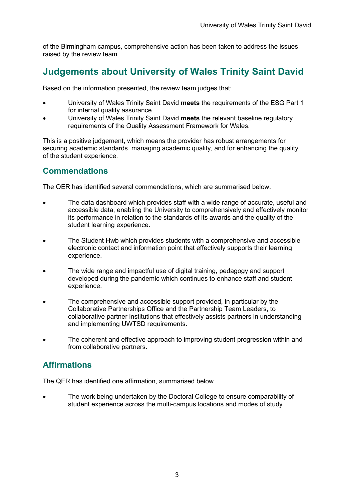of the Birmingham campus, comprehensive action has been taken to address the issues raised by the review team.

## **Judgements about University of Wales Trinity Saint David**

Based on the information presented, the review team judges that:

- University of Wales Trinity Saint David **meets** the requirements of the ESG Part 1 for internal quality assurance.
- University of Wales Trinity Saint David **meets** the relevant baseline regulatory requirements of the Quality Assessment Framework for Wales.

This is a positive judgement, which means the provider has robust arrangements for securing academic standards, managing academic quality, and for enhancing the quality of the student experience.

#### **Commendations**

The QER has identified several commendations, which are summarised below.

- The data dashboard which provides staff with a wide range of accurate, useful and accessible data, enabling the University to comprehensively and effectively monitor its performance in relation to the standards of its awards and the quality of the student learning experience.
- The Student Hwb which provides students with a comprehensive and accessible electronic contact and information point that effectively supports their learning experience.
- The wide range and impactful use of digital training, pedagogy and support developed during the pandemic which continues to enhance staff and student experience.
- The comprehensive and accessible support provided, in particular by the Collaborative Partnerships Office and the Partnership Team Leaders, to collaborative partner institutions that effectively assists partners in understanding and implementing UWTSD requirements.
- The coherent and effective approach to improving student progression within and from collaborative partners.

### **Affirmations**

The QER has identified one affirmation, summarised below.

• The work being undertaken by the Doctoral College to ensure comparability of student experience across the multi-campus locations and modes of study.